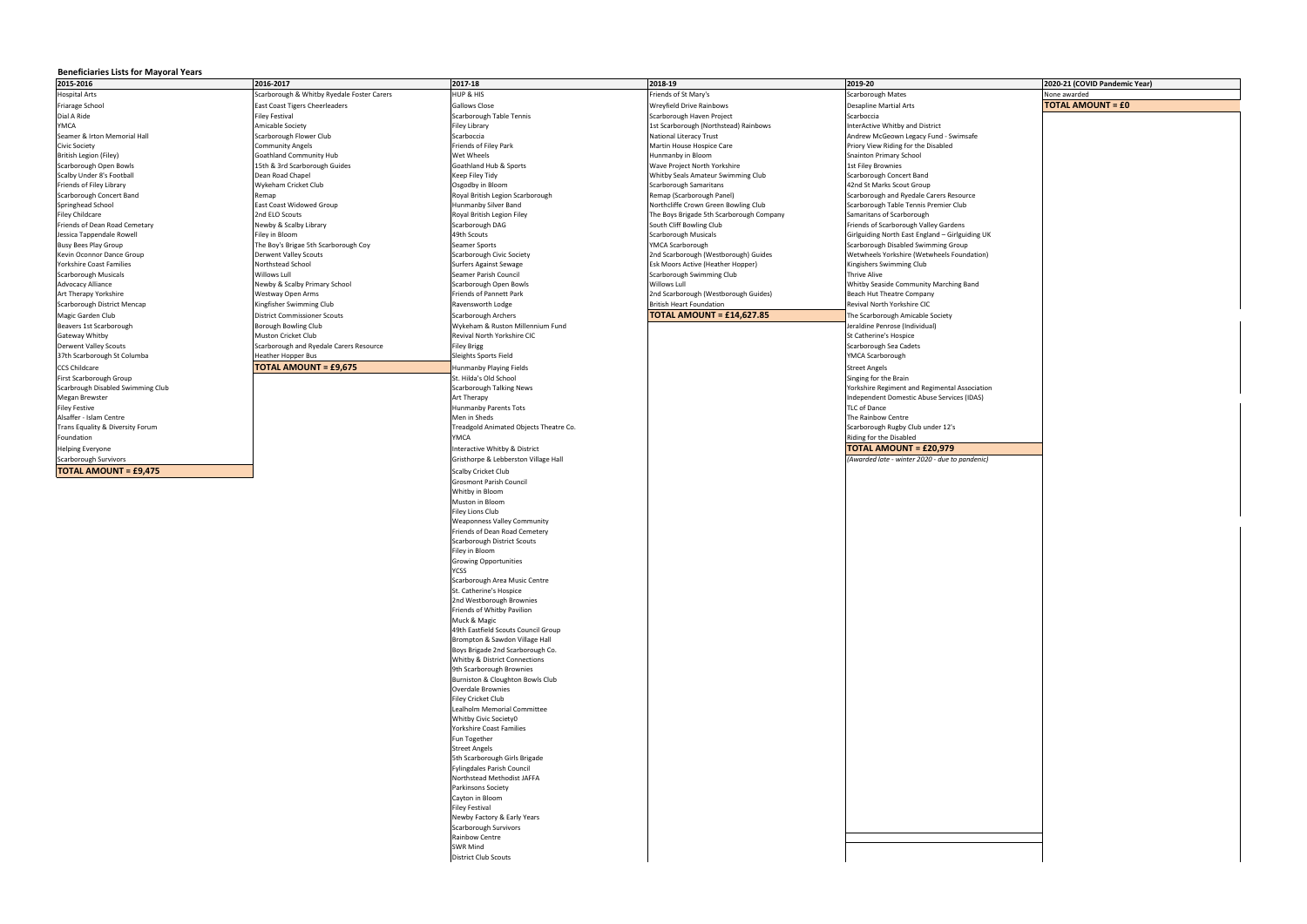## **Beneficiaries Lists for Mayoral Years**

| 2015-2016                                           | 2016-2017                                         | 2017-18                                                | 2018-19                                                            | 2019-20                                                       | 2020-21 (COVID Pandemic Year) |
|-----------------------------------------------------|---------------------------------------------------|--------------------------------------------------------|--------------------------------------------------------------------|---------------------------------------------------------------|-------------------------------|
| <b>Hospital Arts</b>                                | Scarborough & Whitby Ryedale Foster Carers        | HUP & HIS                                              | Friends of St Mary's                                               | Scarborough Mates                                             | None awarded                  |
| Friarage School                                     | East Coast Tigers Cheerleaders                    | Gallows Close                                          | Wreyfield Drive Rainbows                                           | <b>Desapline Martial Arts</b>                                 | <b>TOTAL AMOUNT = £0</b>      |
| Dial A Ride                                         | Filey Festival                                    | Scarborough Table Tennis                               | Scarborough Haven Project                                          | Scarboccia                                                    |                               |
| YMCA                                                | Amicable Society                                  | Filey Library                                          | 1st Scarborough (Northstead) Rainbows                              | InterActive Whitby and District                               |                               |
| Seamer & Irton Memorial Hall                        | Scarborough Flower Club                           | Scarboccia                                             | <b>National Literacy Trust</b>                                     | Andrew McGeown Legacy Fund - Swimsafe                         |                               |
| Civic Society                                       | Community Angels                                  | Friends of Filey Park                                  | Martin House Hospice Care                                          | Priory View Riding for the Disabled                           |                               |
| British Legion (Filey)                              | Goathland Community Hub                           | Wet Wheels<br>Goathland Hub & Sports                   | Hunmanby in Bloom                                                  | <b>Snainton Primary School</b>                                |                               |
| Scarborough Open Bowls<br>Scalby Under 8's Football | 15th & 3rd Scarborough Guides<br>Dean Road Chapel | Keep Filey Tidy                                        | Wave Project North Yorkshire<br>Whitby Seals Amateur Swimming Club | <b>1st Filey Brownies</b><br>Scarborough Concert Band         |                               |
| Friends of Filey Library                            | Wykeham Cricket Club                              | Osgodby in Bloom                                       | Scarborough Samaritans                                             | 42nd St Marks Scout Group                                     |                               |
| Scarborough Concert Band                            | Remap                                             | Royal British Legion Scarborough                       | Remap (Scarborough Panel)                                          | Scarborough and Ryedale Carers Resource                       |                               |
| Springhead School                                   | East Coast Widowed Group                          | Hunmanby Silver Band                                   | Northcliffe Crown Green Bowling Club                               | Scarborough Table Tennis Premier Club                         |                               |
| Filey Childcare                                     | 2nd ELO Scouts                                    | Royal British Legion Filey                             | The Boys Brigade 5th Scarborough Company                           | Samaritans of Scarborough                                     |                               |
| Friends of Dean Road Cemetary                       | Newby & Scalby Library                            | Scarborough DAG                                        | South Cliff Bowling Club                                           | Friends of Scarborough Valley Gardens                         |                               |
| Jessica Tappendale Rowell                           | Filey in Bloom                                    | 49th Scouts                                            | <b>Scarborough Musicals</b>                                        | Girlguiding North East England - Girlguiding UK               |                               |
| Busy Bees Play Group                                | The Boy's Brigae 5th Scarborough Coy              | Seamer Sports                                          | YMCA Scarborough                                                   | Scarborough Disabled Swimming Group                           |                               |
| Kevin Oconnor Dance Group                           | Derwent Valley Scouts                             | Scarborough Civic Society                              | 2nd Scarborough (Westborough) Guides                               | Wetwheels Yorkshire (Wetwheels Foundation)                    |                               |
| Yorkshire Coast Families                            | Northstead School                                 | <b>Surfers Against Sewage</b>                          | Esk Moors Active (Heather Hopper)                                  | Kingishers Swimming Club                                      |                               |
| Scarborough Musicals<br>Advocacy Alliance           | Willows Lull<br>Newby & Scalby Primary School     | Seamer Parish Council<br>Scarborough Open Bowls        | Scarborough Swimming Club<br>Willows Lull                          | <b>Thrive Alive</b><br>Whitby Seaside Community Marching Band |                               |
| Art Therapy Yorkshire                               | Westway Open Arms                                 | <b>Friends of Pannett Park</b>                         | 2nd Scarborough (Westborough Guides)                               | Beach Hut Theatre Company                                     |                               |
| Scarborough District Mencap                         | Kingfisher Swimming Club                          | Ravensworth Lodge                                      | <b>British Heart Foundation</b>                                    | Revival North Yorkshire CIC                                   |                               |
| Magic Garden Club                                   | <b>District Commissioner Scouts</b>               | Scarborough Archers                                    | <b>TOTAL AMOUNT = £14.627.85</b>                                   | The Scarborough Amicable Society                              |                               |
| Beavers 1st Scarborough                             | Borough Bowling Club                              | Wykeham & Ruston Millennium Fund                       |                                                                    | Jeraldine Penrose (Individual)                                |                               |
| Gateway Whitby                                      | Muston Cricket Club                               | Revival North Yorkshire CIC                            |                                                                    | St Catherine's Hospice                                        |                               |
| Derwent Valley Scouts                               | Scarborough and Ryedale Carers Resource           | <b>Filey Brigg</b>                                     |                                                                    | Scarborough Sea Cadets                                        |                               |
| 37th Scarborough St Columba                         | <b>Heather Hopper Bus</b>                         | Sleights Sports Field                                  |                                                                    | YMCA Scarborough                                              |                               |
| CCS Childcare                                       | <b>TOTAL AMOUNT = £9,675</b>                      | Hunmanby Playing Fields                                |                                                                    | <b>Street Angels</b>                                          |                               |
| First Scarborough Group                             |                                                   | St. Hilda's Old School                                 |                                                                    | Singing for the Brain                                         |                               |
| Scarbrough Disabled Swimming Club                   |                                                   | Scarborough Talking News                               |                                                                    | Yorkshire Regiment and Regimental Association                 |                               |
| Megan Brewster                                      |                                                   | Art Therapy                                            |                                                                    | Independent Domestic Abuse Services (IDAS)                    |                               |
| Filey Festive                                       |                                                   | Hunmanby Parents Tots                                  |                                                                    | TLC of Dance                                                  |                               |
| Alsaffer - Islam Centre                             |                                                   | Men in Sheds                                           |                                                                    | The Rainbow Centre                                            |                               |
| Trans Equality & Diversity Forum                    |                                                   | Treadgold Animated Objects Theatre Co.                 |                                                                    | Scarborough Rugby Club under 12's                             |                               |
| Foundation                                          |                                                   | YMCA                                                   |                                                                    | Riding for the Disabled                                       |                               |
| Helping Everyone                                    |                                                   | Interactive Whitby & District                          |                                                                    | <b>TOTAL AMOUNT = £20,979</b>                                 |                               |
| Scarborough Survivors                               |                                                   | Gristhorpe & Lebberston Village Hall                   |                                                                    | (Awarded late - winter 2020 - due to pandenic)                |                               |
| <b>TOTAL AMOUNT = £9,475</b>                        |                                                   | Scalby Cricket Club                                    |                                                                    |                                                               |                               |
|                                                     |                                                   | <b>Grosmont Parish Council</b>                         |                                                                    |                                                               |                               |
|                                                     |                                                   | Whitby in Bloom                                        |                                                                    |                                                               |                               |
|                                                     |                                                   | Muston in Bloom<br>Filey Lions Club                    |                                                                    |                                                               |                               |
|                                                     |                                                   | <b>Weaponness Valley Community</b>                     |                                                                    |                                                               |                               |
|                                                     |                                                   | Friends of Dean Road Cemetery                          |                                                                    |                                                               |                               |
|                                                     |                                                   | Scarborough District Scouts                            |                                                                    |                                                               |                               |
|                                                     |                                                   | Filey in Bloom                                         |                                                                    |                                                               |                               |
|                                                     |                                                   | <b>Growing Opportunities</b>                           |                                                                    |                                                               |                               |
|                                                     |                                                   | 221                                                    |                                                                    |                                                               |                               |
|                                                     |                                                   | Scarborough Area Music Centre                          |                                                                    |                                                               |                               |
|                                                     |                                                   | St. Catherine's Hospice                                |                                                                    |                                                               |                               |
|                                                     |                                                   | 2nd Westborough Brownies<br>Friends of Whitby Pavilion |                                                                    |                                                               |                               |
|                                                     |                                                   | Muck & Magic                                           |                                                                    |                                                               |                               |
|                                                     |                                                   | 49th Eastfield Scouts Council Group                    |                                                                    |                                                               |                               |
|                                                     |                                                   | Brompton & Sawdon Village Hall                         |                                                                    |                                                               |                               |
|                                                     |                                                   | Boys Brigade 2nd Scarborough Co.                       |                                                                    |                                                               |                               |
|                                                     |                                                   | Whitby & District Connections                          |                                                                    |                                                               |                               |
|                                                     |                                                   | 9th Scarborough Brownies                               |                                                                    |                                                               |                               |
|                                                     |                                                   | Burniston & Cloughton Bowls Club                       |                                                                    |                                                               |                               |
|                                                     |                                                   | Overdale Brownies                                      |                                                                    |                                                               |                               |
|                                                     |                                                   | Filey Cricket Club<br>Lealholm Memorial Committee      |                                                                    |                                                               |                               |
|                                                     |                                                   | Whitby Civic Society0                                  |                                                                    |                                                               |                               |
|                                                     |                                                   | <b>Yorkshire Coast Families</b>                        |                                                                    |                                                               |                               |
|                                                     |                                                   | Fun Together                                           |                                                                    |                                                               |                               |
|                                                     |                                                   | <b>Street Angels</b>                                   |                                                                    |                                                               |                               |
|                                                     |                                                   | 5th Scarborough Girls Brigade                          |                                                                    |                                                               |                               |
|                                                     |                                                   | Fylingdales Parish Council                             |                                                                    |                                                               |                               |
|                                                     |                                                   | Northstead Methodist JAFFA                             |                                                                    |                                                               |                               |
|                                                     |                                                   | Parkinsons Society                                     |                                                                    |                                                               |                               |
|                                                     |                                                   | Cayton in Bloom                                        |                                                                    |                                                               |                               |
|                                                     |                                                   | <b>Filey Festival</b>                                  |                                                                    |                                                               |                               |
|                                                     |                                                   | Newby Factory & Early Years<br>Scarborough Survivors   |                                                                    |                                                               |                               |
|                                                     |                                                   | Rainbow Centre                                         |                                                                    |                                                               |                               |
|                                                     |                                                   | <b>SWR Mind</b>                                        |                                                                    |                                                               |                               |
|                                                     |                                                   | <b>District Club Scouts</b>                            |                                                                    |                                                               |                               |
|                                                     |                                                   |                                                        |                                                                    |                                                               |                               |